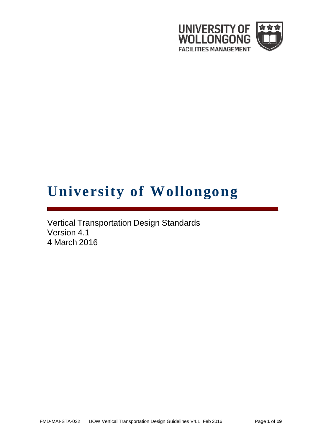

# **University of Wollongong**

Vertical Transportation Design Standards Version 4.1 4 March 2016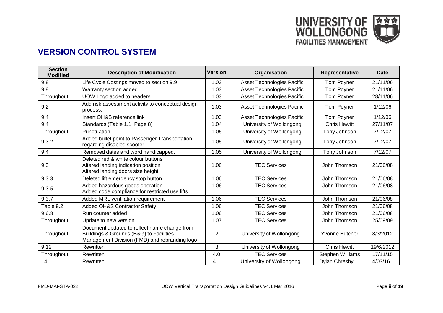

## **VERSION CONTROL SYSTEM**

| <b>Section</b><br><b>Modified</b> | <b>Description of Modification</b>                                                                                                       | <b>Version</b> | Organisation                      | Representative          | <b>Date</b> |
|-----------------------------------|------------------------------------------------------------------------------------------------------------------------------------------|----------------|-----------------------------------|-------------------------|-------------|
| 9.8                               | Life Cycle Costings moved to section 9.9                                                                                                 | 1.03           | <b>Asset Technologies Pacific</b> | Tom Poyner              | 21/11/06    |
| 9.8                               | Warranty section added                                                                                                                   | 1.03           | Asset Technologies Pacific        | <b>Tom Poyner</b>       | 21/11/06    |
| Throughout                        | UOW Logo added to headers                                                                                                                | 1.03           | <b>Asset Technologies Pacific</b> | <b>Tom Poyner</b>       | 28/11/06    |
| 9.2                               | Add risk assessment activity to conceptual design<br>process.                                                                            | 1.03           | <b>Asset Technologies Pacific</b> | Tom Poyner              | 1/12/06     |
| 9.4                               | Insert OH&S reference link                                                                                                               | 1.03           | <b>Asset Technologies Pacific</b> | Tom Poyner              | 1/12/06     |
| 9.4                               | Standards (Table 1.1, Page 8)                                                                                                            | 1.04           | University of Wollongong          | <b>Chris Hewitt</b>     | 27/11/07    |
| Throughout                        | Punctuation                                                                                                                              | 1.05           | University of Wollongong          | Tony Johnson            | 7/12/07     |
| 9.3.2                             | Added bullet point to Passenger Transportation<br>regarding disabled scooter.                                                            | 1.05           | University of Wollongong          | Tony Johnson            | 7/12/07     |
| 9.4                               | Removed dates and word handicapped.                                                                                                      | 1.05           | University of Wollongong          | Tony Johnson            | 7/12/07     |
| 9.3                               | Deleted red & white colour buttons<br>Altered landing indication position<br>Altered landing doors size height                           | 1.06           | <b>TEC Services</b>               | John Thomson            | 21/06/08    |
| 9.3.3                             | Deleted lift emergency stop button                                                                                                       | 1.06           | <b>TEC Services</b>               | John Thomson            | 21/06/08    |
| 9.3.5                             | Added hazardous goods operation<br>Added code compliance for restricted use lifts                                                        | 1.06           | <b>TEC Services</b>               | John Thomson            | 21/06/08    |
| 9.3.7                             | Added MRL ventilation requirement                                                                                                        | 1.06           | <b>TEC Services</b>               | John Thomson            | 21/06/08    |
| Table 9.2                         | <b>Added OH&amp;S Contractor Safety</b>                                                                                                  | 1.06           | <b>TEC Services</b>               | John Thomson            | 21/06/08    |
| 9.6.8                             | Run counter added                                                                                                                        | 1.06           | <b>TEC Services</b>               | John Thomson            | 21/06/08    |
| Throughout                        | Update to new version                                                                                                                    | 1.07           | <b>TEC Services</b>               | John Thomson            | 25/09/09    |
| Throughout                        | Document updated to reflect name change from<br>Buildings & Grounds (B&G) to Facilities<br>Management Division (FMD) and rebranding logo | $\overline{2}$ | University of Wollongong          | Yvonne Butcher          | 8/3/2012    |
| 9.12                              | Rewritten                                                                                                                                | 3              | University of Wollongong          | <b>Chris Hewitt</b>     | 19/6/2012   |
| Throughout                        | Rewritten                                                                                                                                | 4.0            | <b>TEC Services</b>               | <b>Stephen Williams</b> | 17/11/15    |
| 14                                | Rewritten                                                                                                                                | 4.1            | University of Wollongong          | Dylan Chresby           | 4/03/16     |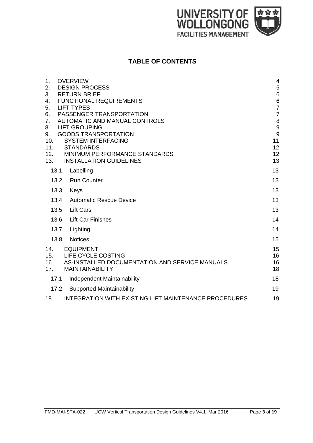

### **TABLE OF CONTENTS**

| 1.         | <b>OVERVIEW</b>                                              | $\overline{4}$   |
|------------|--------------------------------------------------------------|------------------|
| 2.         | <b>DESIGN PROCESS</b>                                        | $\mathbf 5$      |
| 3.         | <b>RETURN BRIEF</b>                                          | $\,6$            |
| 4.         | <b>FUNCTIONAL REQUIREMENTS</b>                               | $\,6$            |
| 5.         | <b>LIFT TYPES</b>                                            | $\overline{7}$   |
| 6.         | PASSENGER TRANSPORTATION                                     | $\overline{7}$   |
| 7.         | AUTOMATIC AND MANUAL CONTROLS                                | $\,8\,$          |
| 8.         | <b>LIFT GROUPING</b>                                         | $\boldsymbol{9}$ |
| 9.         | <b>GOODS TRANSPORTATION</b>                                  | 9                |
| 10.        | <b>SYSTEM INTERFACING</b>                                    | 11               |
| 11.<br>12. | <b>STANDARDS</b><br>MINIMUM PERFORMANCE STANDARDS            | 12<br>12         |
| 13.        | <b>INSTALLATION GUIDELINES</b>                               | 13               |
|            |                                                              |                  |
|            | 13.1<br>Labelling                                            | 13               |
|            | <b>Run Counter</b><br>13.2                                   | 13               |
|            | 13.3<br>Keys                                                 | 13               |
|            | 13.4<br><b>Automatic Rescue Device</b>                       | 13               |
|            | <b>Lift Cars</b><br>13.5                                     | 13               |
|            | 13.6<br><b>Lift Car Finishes</b>                             | 14               |
|            | 13.7<br>Lighting                                             | 14               |
|            | 13.8<br><b>Notices</b>                                       | 15               |
| 14.        | <b>EQUIPMENT</b>                                             | 15               |
| 15.        | LIFE CYCLE COSTING                                           | 16               |
| 16.        | AS-INSTALLED DOCUMENTATION AND SERVICE MANUALS               | 16               |
| 17.        | <b>MAINTAINABILITY</b>                                       | 18               |
|            | 17.1<br>Independent Maintainability                          | 18               |
|            | <b>Supported Maintainability</b><br>17.2                     | 19               |
| 18.        | <b>INTEGRATION WITH EXISTING LIFT MAINTENANCE PROCEDURES</b> | 19               |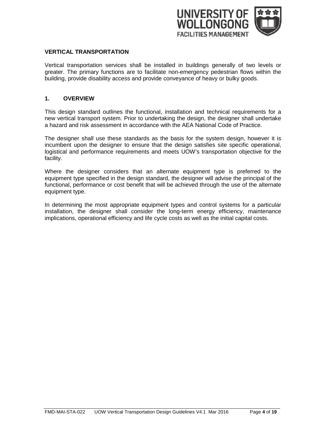

#### **VERTICAL TRANSPORTATION**

Vertical transportation services shall be installed in buildings generally of two levels or greater. The primary functions are to facilitate non-emergency pedestrian flows within the building, provide disability access and provide conveyance of heavy or bulky goods.

#### **1. OVERVIEW**

This design standard outlines the functional, installation and technical requirements for a new vertical transport system. Prior to undertaking the design, the designer shall undertake a hazard and risk assessment in accordance with the AEA National Code of Practice.

The designer shall use these standards as the basis for the system design, however it is incumbent upon the designer to ensure that the design satisfies site specific operational, logistical and performance requirements and meets UOW's transportation objective for the facility.

Where the designer considers that an alternate equipment type is preferred to the equipment type specified in the design standard, the designer will advise the principal of the functional, performance or cost benefit that will be achieved through the use of the alternate equipment type.

In determining the most appropriate equipment types and control systems for a particular installation, the designer shall consider the long-term energy efficiency, maintenance implications, operational efficiency and life cycle costs as well as the initial capital costs.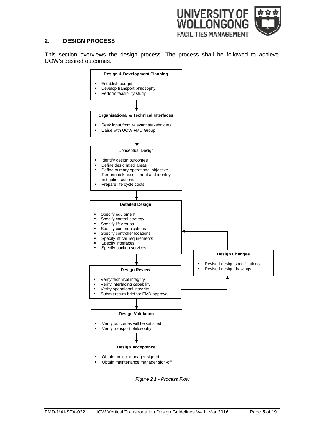

#### **2. DESIGN PROCESS**

This section overviews the design process. The process shall be followed to achieve UOW's desired outcomes.



*Figure 2.1 - Process Flow*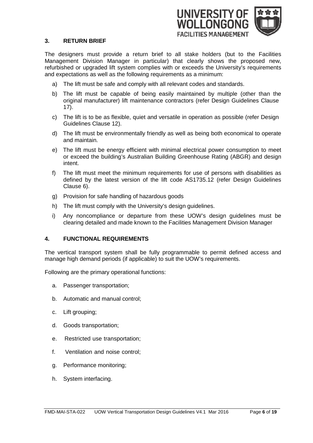

#### **3. RETURN BRIEF**

The designers must provide a return brief to all stake holders (but to the Facilities Management Division Manager in particular) that clearly shows the proposed new, refurbished or upgraded lift system complies with or exceeds the University's requirements and expectations as well as the following requirements as a minimum:

- a) The lift must be safe and comply with all relevant codes and standards.
- b) The lift must be capable of being easily maintained by multiple (other than the original manufacturer) lift maintenance contractors (refer Design Guidelines Clause 17).
- c) The lift is to be as flexible, quiet and versatile in operation as possible (refer Design Guidelines Clause 12).
- d) The lift must be environmentally friendly as well as being both economical to operate and maintain.
- e) The lift must be energy efficient with minimal electrical power consumption to meet or exceed the building's Australian Building Greenhouse Rating (ABGR) and design intent.
- f) The lift must meet the minimum requirements for use of persons with disabilities as defined by the latest version of the lift code AS1735.12 (refer Design Guidelines Clause 6).
- g) Provision for safe handling of hazardous goods
- h) The lift must comply with the University's design guidelines.
- i) Any noncompliance or departure from these UOW's design guidelines must be clearing detailed and made known to the Facilities Management Division Manager

#### **4. FUNCTIONAL REQUIREMENTS**

The vertical transport system shall be fully programmable to permit defined access and manage high demand periods (if applicable) to suit the UOW's requirements.

Following are the primary operational functions:

- a. Passenger transportation;
- b. Automatic and manual control;
- c. Lift grouping;
- d. Goods transportation;
- e. Restricted use transportation;
- f. Ventilation and noise control;
- g. Performance monitoring;
- h. System interfacing.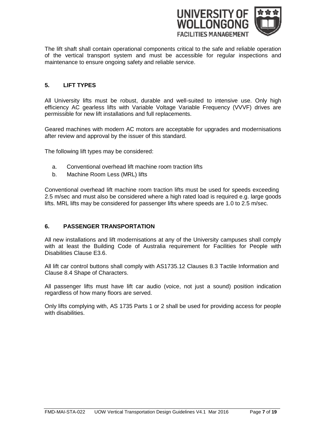

The lift shaft shall contain operational components critical to the safe and reliable operation of the vertical transport system and must be accessible for regular inspections and maintenance to ensure ongoing safety and reliable service.

#### **5. LIFT TYPES**

All University lifts must be robust, durable and well-suited to intensive use. Only high efficiency AC gearless lifts with Variable Voltage Variable Frequency (VVVF) drives are permissible for new lift installations and full replacements.

Geared machines with modern AC motors are acceptable for upgrades and modernisations after review and approval by the issuer of this standard.

The following lift types may be considered:

- a. Conventional overhead lift machine room traction lifts
- b. Machine Room Less (MRL) lifts

Conventional overhead lift machine room traction lifts must be used for speeds exceeding 2.5 m/sec and must also be considered where a high rated load is required e.g. large goods lifts. MRL lifts may be considered for passenger lifts where speeds are 1.0 to 2.5 m/sec.

#### **6. PASSENGER TRANSPORTATION**

All new installations and lift modernisations at any of the University campuses shall comply with at least the Building Code of Australia requirement for Facilities for People with Disabilities Clause E3.6.

All lift car control buttons shall comply with AS1735.12 Clauses 8.3 Tactile Information and Clause 8.4 Shape of Characters.

All passenger lifts must have lift car audio (voice, not just a sound) position indication regardless of how many floors are served.

Only lifts complying with, AS 1735 Parts 1 or 2 shall be used for providing access for people with disabilities.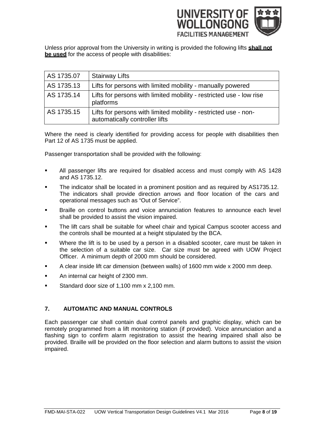

Unless prior approval from the University in writing is provided the following lifts **shall not be used** for the access of people with disabilities:

| AS 1735.07 | <b>Stairway Lifts</b>                                                                             |
|------------|---------------------------------------------------------------------------------------------------|
| AS 1735.13 | Lifts for persons with limited mobility - manually powered                                        |
| AS 1735.14 | Lifts for persons with limited mobility - restricted use - low rise<br>platforms                  |
| AS 1735.15 | Lifts for persons with limited mobility - restricted use - non-<br>automatically controller lifts |

Where the need is clearly identified for providing access for people with disabilities then Part 12 of AS 1735 must be applied.

Passenger transportation shall be provided with the following:

- All passenger lifts are required for disabled access and must comply with AS 1428 and AS 1735.12.
- The indicator shall be located in a prominent position and as required by AS1735.12. The indicators shall provide direction arrows and floor location of the cars and operational messages such as "Out of Service".
- Braille on control buttons and voice annunciation features to announce each level shall be provided to assist the vision impaired.
- The lift cars shall be suitable for wheel chair and typical Campus scooter access and the controls shall be mounted at a height stipulated by the BCA.
- Where the lift is to be used by a person in a disabled scooter, care must be taken in the selection of a suitable car size. Car size must be agreed with UOW Project Officer. A minimum depth of 2000 mm should be considered.
- A clear inside lift car dimension (between walls) of 1600 mm wide x 2000 mm deep.
- An internal car height of 2300 mm.
- Standard door size of 1,100 mm x 2,100 mm.

#### **7. AUTOMATIC AND MANUAL CONTROLS**

Each passenger car shall contain dual control panels and graphic display, which can be remotely programmed from a lift monitoring station (if provided). Voice annunciation and a flashing sign to confirm alarm registration to assist the hearing impaired shall also be provided. Braille will be provided on the floor selection and alarm buttons to assist the vision impaired.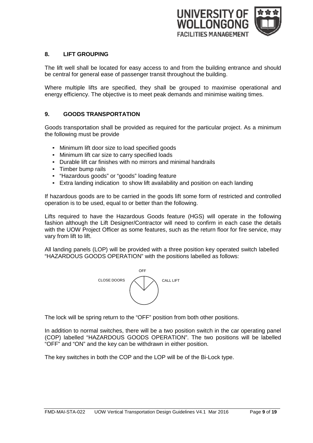

#### **8. LIFT GROUPING**

The lift well shall be located for easy access to and from the building entrance and should be central for general ease of passenger transit throughout the building.

Where multiple lifts are specified, they shall be grouped to maximise operational and energy efficiency. The objective is to meet peak demands and minimise waiting times.

#### **9. GOODS TRANSPORTATION**

Goods transportation shall be provided as required for the particular project. As a minimum the following must be provide

- Minimum lift door size to load specified goods
- Minimum lift car size to carry specified loads
- Durable lift car finishes with no mirrors and minimal handrails
- Timber bump rails
- "Hazardous goods" or "goods" loading feature
- Extra landing indication to show lift availability and position on each landing

If hazardous goods are to be carried in the goods lift some form of restricted and controlled operation is to be used, equal to or better than the following.

Lifts required to have the Hazardous Goods feature (HGS) will operate in the following fashion although the Lift Designer/Contractor will need to confirm in each case the details with the UOW Project Officer as some features, such as the return floor for fire service, may vary from lift to lift.

All landing panels (LOP) will be provided with a three position key operated switch labelled "HAZARDOUS GOODS OPERATION" with the positions labelled as follows:



The lock will be spring return to the "OFF" position from both other positions.

In addition to normal switches, there will be a two position switch in the car operating panel (COP) labelled "HAZARDOUS GOODS OPERATION". The two positions will be labelled "OFF" and "ON" and the key can be withdrawn in either position.

The key switches in both the COP and the LOP will be of the Bi-Lock type.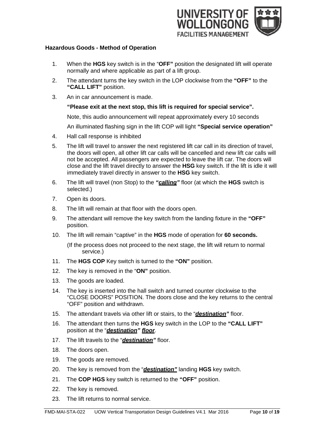

#### **Hazardous Goods - Method of Operation**

- 1. When the **HGS** key switch is in the "**OFF"** position the designated lift will operate normally and where applicable as part of a lift group.
- 2. The attendant turns the key switch in the LOP clockwise from the **"OFF"** to the **"CALL LIFT"** position.
- 3. An in car announcement is made.

#### **"Please exit at the next stop, this lift is required for special service".**

Note, this audio announcement will repeat approximately every 10 seconds

An illuminated flashing sign in the lift COP will light **"Special service operation"**

- 4. Hall call response is inhibited
- 5. The lift will travel to answer the next registered lift car call in its direction of travel, the doors will open, all other lift car calls will be cancelled and new lift car calls will not be accepted. All passengers are expected to leave the lift car. The doors will close and the lift travel directly to answer the **HSG** key switch. If the lift is idle it will immediately travel directly in answer to the **HSG** key switch.
- 6. The lift will travel (non Stop) to the *"calling"* floor (at which the **HGS** switch is selected.)
- 7. Open its doors.
- 8. The lift will remain at that floor with the doors open.
- 9. The attendant will remove the key switch from the landing fixture in the **"OFF"** position.
- 10. The lift will remain "captive" in the **HGS** mode of operation for **60 seconds.**

(If the process does not proceed to the next stage, the lift will return to normal service.)

- 11. The **HGS COP** Key switch is turned to the **"ON"** position.
- 12. The key is removed in the "**ON"** position.
- 13. The goods are loaded.
- 14. The key is inserted into the hall switch and turned counter clockwise to the "CLOSE DOORS" POSITION. The doors close and the key returns to the central "OFF" position and withdrawn.
- 15. The attendant travels via other lift or stairs, to the "*destination"* floor.
- 16. The attendant then turns the **HGS** key switch in the LOP to the **"CALL LIFT"** position at the "*destination" floor*.
- 17. The lift travels to the "*destination"* floor.
- 18. The doors open.
- 19. The goods are removed.
- 20. The key is removed from the "*destination"* landing **HGS** key switch.
- 21. The **COP HGS** key switch is returned to the **"OFF"** position.
- 22. The key is removed.
- 23. The lift returns to normal service.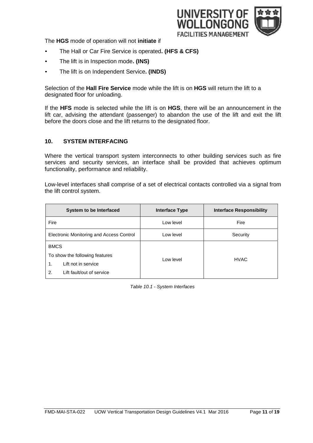

The **HGS** mode of operation will not **initiate** if

- The Hall or Car Fire Service is operated**. (HFS & CFS)**
- The lift is in Inspection mode**. (INS)**
- The lift is on Independent Service**. (INDS)**

Selection of the **Hall Fire Service** mode while the lift is on **HGS** will return the lift to a designated floor for unloading.

If the **HFS** mode is selected while the lift is on **HGS**, there will be an announcement in the lift car, advising the attendant (passenger) to abandon the use of the lift and exit the lift before the doors close and the lift returns to the designated floor.

#### **10. SYSTEM INTERFACING**

Where the vertical transport system interconnects to other building services such as fire services and security services, an interface shall be provided that achieves optimum functionality, performance and reliability.

Low-level interfaces shall comprise of a set of electrical contacts controlled via a signal from the lift control system.

| System to be Interfaced                  | Interface Type | <b>Interface Responsibility</b> |  |
|------------------------------------------|----------------|---------------------------------|--|
| Fire                                     | Low level      | Fire                            |  |
| Electronic Monitoring and Access Control | Low level      | Security                        |  |
| <b>BMCS</b>                              | Low level      |                                 |  |
| To show the following features           |                | <b>HVAC</b>                     |  |
| Lift not in service<br>1.                |                |                                 |  |
| Lift fault/out of service<br>2.          |                |                                 |  |

*Table 10.1 - System Interfaces*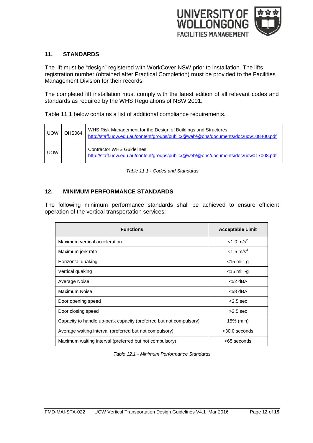

#### **11. STANDARDS**

The lift must be "design" registered with WorkCover NSW prior to installation. The lifts registration number (obtained after Practical Completion) must be provided to the Facilities Management Division for their records.

The completed lift installation must comply with the latest edition of all relevant codes and standards as required by the WHS Regulations of NSW 2001.

Table 11.1 below contains a list of additional compliance requirements.

| <b>UOW</b> | OHS064 | WHS Risk Management for the Design of Buildings and Structures<br>http://staff.uow.edu.au/content/groups/public/@web/@ohs/documents/doc/uow108400.pdf |
|------------|--------|-------------------------------------------------------------------------------------------------------------------------------------------------------|
| <b>UOW</b> |        | <b>Contractor WHS Guidelines</b><br>http://staff.uow.edu.au/content/groups/public/@web/@ohs/documents/doc/uow017008.pdf                               |



#### **12. MINIMUM PERFORMANCE STANDARDS**

The following minimum performance standards shall be achieved to ensure efficient operation of the vertical transportation services:

| <b>Functions</b>                                                   | <b>Acceptable Limit</b>  |  |
|--------------------------------------------------------------------|--------------------------|--|
| Maximum vertical acceleration                                      | $< 1.0$ m/s <sup>2</sup> |  |
| Maximum jerk rate                                                  | $< 1.5$ m/s <sup>3</sup> |  |
| Horizontal quaking                                                 | $<$ 15 milli-g           |  |
| Vertical quaking                                                   | $<$ 15 milli-g           |  |
| Average Noise                                                      | $<$ 52 dBA               |  |
| Maximum Noise                                                      | $<$ 58 dBA               |  |
| Door opening speed                                                 | $<$ 2.5 sec              |  |
| Door closing speed                                                 | $>2.5$ sec               |  |
| Capacity to handle up-peak capacity (preferred but not compulsory) | 15% (min)                |  |
| Average waiting interval (preferred but not compulsory)            | $<$ 30.0 seconds         |  |
| Maximum waiting interval (preferred but not compulsory)            | <65 seconds              |  |

*Table 12.1 - Minimum Performance Standards*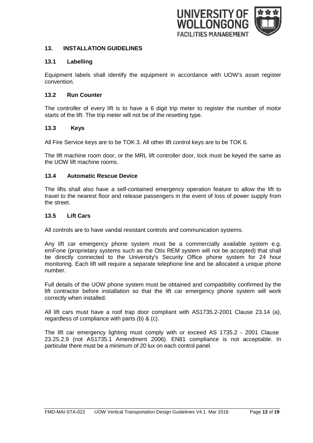

#### **13. INSTALLATION GUIDELINES**

#### **13.1 Labelling**

Equipment labels shall identify the equipment in accordance with UOW's asset register convention.

#### **13.2 Run Counter**

The controller of every lift is to have a 6 digit trip meter to register the number of motor starts of the lift. The trip meter will not be of the resetting type.

#### **13.3 Keys**

All Fire Service keys are to be TOK 3. All other lift control keys are to be TOK 6.

The lift machine room door, or the MRL lift controller door, lock must be keyed the same as the UOW lift machine rooms.

#### **13.4 Automatic Rescue Device**

The lifts shall also have a self-contained emergency operation feature to allow the lift to travel to the nearest floor and release passengers in the event of loss of power supply from the street.

#### **13.5 Lift Cars**

All controls are to have vandal resistant controls and communication systems.

Any lift car emergency phone system must be a commercially available system e.g. emFone (proprietary systems such as the Otis REM system will not be accepted) that shall be directly connected to the University's Security Office phone system for 24 hour monitoring. Each lift will require a separate telephone line and be allocated a unique phone number.

Full details of the UOW phone system must be obtained and compatibility confirmed by the lift contractor before installation so that the lift car emergency phone system will work correctly when installed.

All lift cars must have a roof trap door compliant with AS1735.2-2001 Clause 23.14 (a), regardless of compliance with parts (b) & (c).

The lift car emergency lighting must comply with or exceed AS 1735.2 - 2001 Clause 23.25.2.9 (not AS1735.1 Amendment 2006). EN81 compliance is not acceptable. In particular there must be a minimum of 20 lux on each control panel.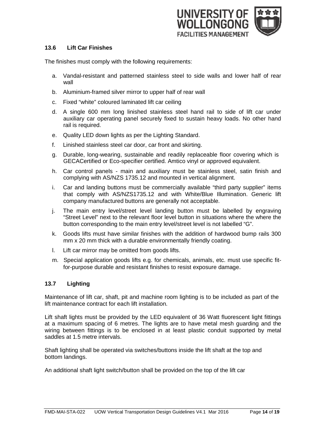

#### **13.6 Lift Car Finishes**

The finishes must comply with the following requirements:

- a. Vandal-resistant and patterned stainless steel to side walls and lower half of rear wall
- b. Aluminium-framed silver mirror to upper half of rear wall
- c. Fixed "white" coloured laminated lift car ceiling
- d. A single 600 mm long linished stainless steel hand rail to side of lift car under auxiliary car operating panel securely fixed to sustain heavy loads. No other hand rail is required.
- e. Quality LED down lights as per the Lighting Standard.
- f. Linished stainless steel car door, car front and skirting.
- g. Durable, long-wearing, sustainable and readily replaceable floor covering which is GECACertified or Eco-specifier certified. Amtico vinyl or approved equivalent.
- h. Car control panels main and auxiliary must be stainless steel, satin finish and complying with AS/NZS 1735.12 and mounted in vertical alignment.
- i. Car and landing buttons must be commercially available "third party supplier" items that comply with AS/NZS1735.12 and with White/Blue Illumination. Generic lift company manufactured buttons are generally not acceptable.
- j. The main entry level/street level landing button must be labelled by engraving "Street Level" next to the relevant floor level button in situations where the where the button corresponding to the main entry level/street level is not labelled "G".
- k. Goods lifts must have similar finishes with the addition of hardwood bump rails 300 mm x 20 mm thick with a durable environmentally friendly coating.
- l. Lift car mirror may be omitted from goods lifts.
- m. Special application goods lifts e.g. for chemicals, animals, etc. must use specific fitfor-purpose durable and resistant finishes to resist exposure damage.

#### **13.7 Lighting**

Maintenance of lift car, shaft, pit and machine room lighting is to be included as part of the lift maintenance contract for each lift installation.

Lift shaft lights must be provided by the LED equivalent of 36 Watt fluorescent light fittings at a maximum spacing of 6 metres. The lights are to have metal mesh guarding and the wiring between fittings is to be enclosed in at least plastic conduit supported by metal saddles at 1.5 metre intervals.

Shaft lighting shall be operated via switches/buttons inside the lift shaft at the top and bottom landings.

An additional shaft light switch/button shall be provided on the top of the lift car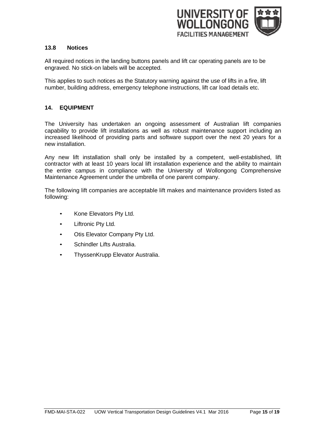

#### **13.8 Notices**

All required notices in the landing buttons panels and lift car operating panels are to be engraved. No stick-on labels will be accepted.

This applies to such notices as the Statutory warning against the use of lifts in a fire, lift number, building address, emergency telephone instructions, lift car load details etc.

#### **14. EQUIPMENT**

The University has undertaken an ongoing assessment of Australian lift companies capability to provide lift installations as well as robust maintenance support including an increased likelihood of providing parts and software support over the next 20 years for a new installation.

Any new lift installation shall only be installed by a competent, well-established, lift contractor with at least 10 years local lift installation experience and the ability to maintain the entire campus in compliance with the University of Wollongong Comprehensive Maintenance Agreement under the umbrella of one parent company.

The following lift companies are acceptable lift makes and maintenance providers listed as following:

- Kone Elevators Pty Ltd.
- Liftronic Pty Ltd.
- Otis Elevator Company Pty Ltd.
- Schindler Lifts Australia.
- ThyssenKrupp Elevator Australia.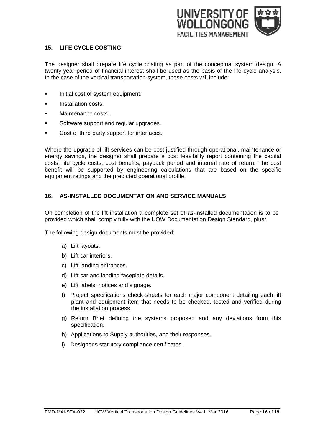

#### **15. LIFE CYCLE COSTING**

The designer shall prepare life cycle costing as part of the conceptual system design. A twenty-year period of financial interest shall be used as the basis of the life cycle analysis. In the case of the vertical transportation system, these costs will include:

- Initial cost of system equipment.
- Installation costs.
- Maintenance costs.
- Software support and regular upgrades.
- Cost of third party support for interfaces.

Where the upgrade of lift services can be cost justified through operational, maintenance or energy savings, the designer shall prepare a cost feasibility report containing the capital costs, life cycle costs, cost benefits, payback period and internal rate of return. The cost benefit will be supported by engineering calculations that are based on the specific equipment ratings and the predicted operational profile.

#### **16. AS-INSTALLED DOCUMENTATION AND SERVICE MANUALS**

On completion of the lift installation a complete set of as-installed documentation is to be provided which shall comply fully with the UOW Documentation Design Standard, plus:

The following design documents must be provided:

- a) Lift layouts.
- b) Lift car interiors.
- c) Lift landing entrances.
- d) Lift car and landing faceplate details.
- e) Lift labels, notices and signage.
- f) Project specifications check sheets for each major component detailing each lift plant and equipment item that needs to be checked, tested and verified during the installation process.
- g) Return Brief defining the systems proposed and any deviations from this specification.
- h) Applications to Supply authorities, and their responses.
- i) Designer's statutory compliance certificates.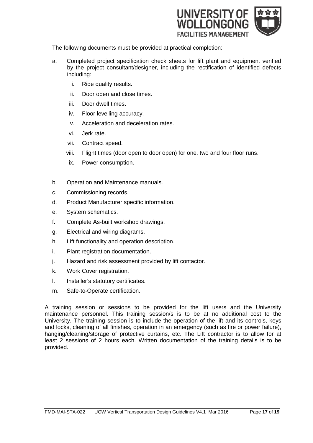

The following documents must be provided at practical completion:

- a. Completed project specification check sheets for lift plant and equipment verified by the project consultant/designer, including the rectification of identified defects including:
	- i. Ride quality results.
	- ii. Door open and close times.
	- iii. Door dwell times.
	- iv. Floor levelling accuracy.
	- v. Acceleration and deceleration rates.
	- vi. Jerk rate.
	- vii. Contract speed.
	- viii. Flight times (door open to door open) for one, two and four floor runs.
	- ix. Power consumption.
- b. Operation and Maintenance manuals.
- c. Commissioning records.
- d. Product Manufacturer specific information.
- e. System schematics.
- f. Complete As-built workshop drawings.
- g. Electrical and wiring diagrams.
- h. Lift functionality and operation description.
- i. Plant registration documentation.
- j. Hazard and risk assessment provided by lift contactor.
- k. Work Cover registration.
- l. Installer's statutory certificates.
- m. Safe-to-Operate certification.

A training session or sessions to be provided for the lift users and the University maintenance personnel. This training session/s is to be at no additional cost to the University. The training session is to include the operation of the lift and its controls, keys and locks, cleaning of all finishes, operation in an emergency (such as fire or power failure), hanging/cleaning/storage of protective curtains, etc. The Lift contractor is to allow for at least 2 sessions of 2 hours each. Written documentation of the training details is to be provided.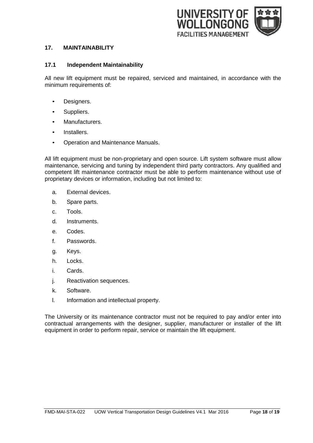

#### **17. MAINTAINABILITY**

#### **17.1 Independent Maintainability**

All new lift equipment must be repaired, serviced and maintained, in accordance with the minimum requirements of:

- Designers.
- Suppliers.
- Manufacturers.
- Installers.
- Operation and Maintenance Manuals.

All lift equipment must be non-proprietary and open source. Lift system software must allow maintenance, servicing and tuning by independent third party contractors. Any qualified and competent lift maintenance contractor must be able to perform maintenance without use of proprietary devices or information, including but not limited to:

- a. External devices.
- b. Spare parts.
- c. Tools.
- d. Instruments.
- e. Codes.
- f. Passwords.
- g. Keys.
- h. Locks.
- i. Cards.
- j. Reactivation sequences.
- k. Software.
- l. Information and intellectual property.

The University or its maintenance contractor must not be required to pay and/or enter into contractual arrangements with the designer, supplier, manufacturer or installer of the lift equipment in order to perform repair, service or maintain the lift equipment.